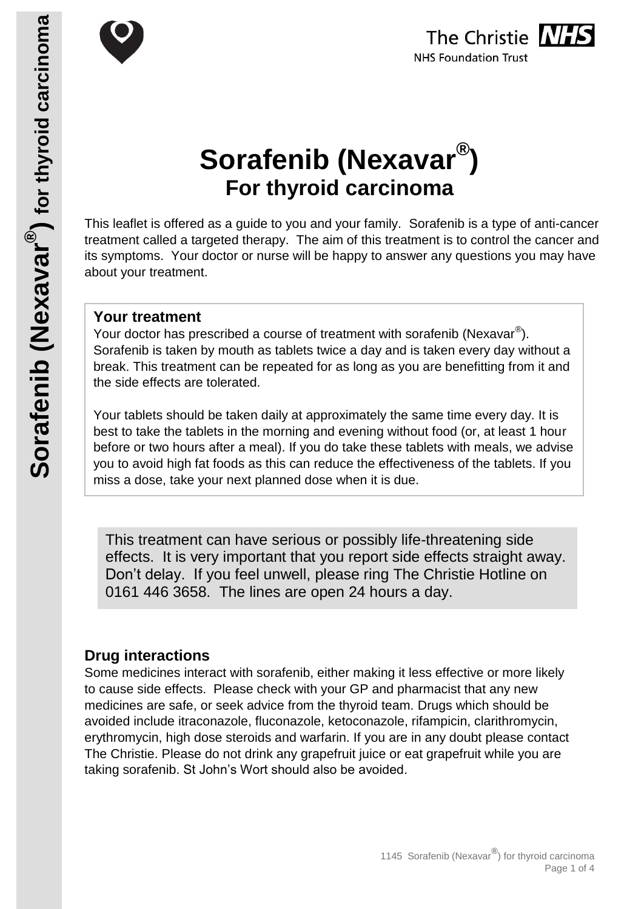



# **Sorafenib (Nexavar® ) For thyroid carcinoma**

This leaflet is offered as a guide to you and your family. Sorafenib is a type of anti-cancer treatment called a targeted therapy. The aim of this treatment is to control the cancer and its symptoms. Your doctor or nurse will be happy to answer any questions you may have about your treatment.

#### **Your treatment**

Your doctor has prescribed a course of treatment with sorafenib (Nexavar $^{\circledast}$ ). Sorafenib is taken by mouth as tablets twice a day and is taken every day without a break. This treatment can be repeated for as long as you are benefitting from it and the side effects are tolerated.

Your tablets should be taken daily at approximately the same time every day. It is best to take the tablets in the morning and evening without food (or, at least 1 hour before or two hours after a meal). If you do take these tablets with meals, we advise you to avoid high fat foods as this can reduce the effectiveness of the tablets. If you miss a dose, take your next planned dose when it is due.

This treatment can have serious or possibly life-threatening side effects. It is very important that you report side effects straight away. Don't delay. If you feel unwell, please ring The Christie Hotline on 0161 446 3658. The lines are open 24 hours a day.

## **Drug interactions**

Some medicines interact with sorafenib, either making it less effective or more likely to cause side effects. Please check with your GP and pharmacist that any new medicines are safe, or seek advice from the thyroid team. Drugs which should be avoided include itraconazole, fluconazole, ketoconazole, rifampicin, clarithromycin, erythromycin, high dose steroids and warfarin. If you are in any doubt please contact The Christie. Please do not drink any grapefruit juice or eat grapefruit while you are taking sorafenib. St John's Wort should also be avoided.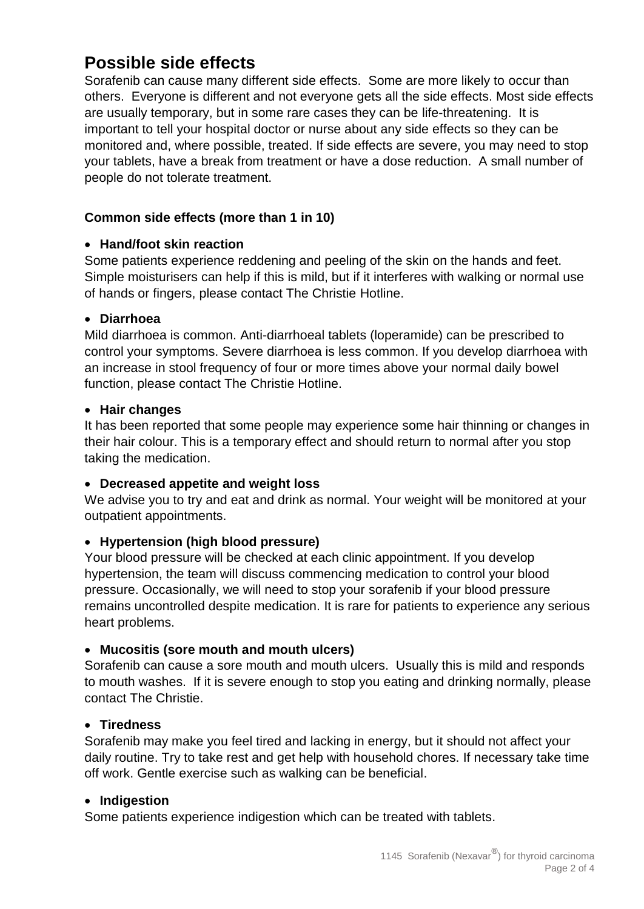## **Possible side effects**

Sorafenib can cause many different side effects. Some are more likely to occur than others. Everyone is different and not everyone gets all the side effects. Most side effects are usually temporary, but in some rare cases they can be life-threatening. It is important to tell your hospital doctor or nurse about any side effects so they can be monitored and, where possible, treated. If side effects are severe, you may need to stop your tablets, have a break from treatment or have a dose reduction. A small number of people do not tolerate treatment.

#### **Common side effects (more than 1 in 10)**

#### **Hand/foot skin reaction**

Some patients experience reddening and peeling of the skin on the hands and feet. Simple moisturisers can help if this is mild, but if it interferes with walking or normal use of hands or fingers, please contact The Christie Hotline.

#### **Diarrhoea**

Mild diarrhoea is common. Anti-diarrhoeal tablets (loperamide) can be prescribed to control your symptoms. Severe diarrhoea is less common. If you develop diarrhoea with an increase in stool frequency of four or more times above your normal daily bowel function, please contact The Christie Hotline.

#### **Hair changes**

It has been reported that some people may experience some hair thinning or changes in their hair colour. This is a temporary effect and should return to normal after you stop taking the medication.

#### **Decreased appetite and weight loss**

We advise you to try and eat and drink as normal. Your weight will be monitored at your outpatient appointments.

#### **Hypertension (high blood pressure)**

Your blood pressure will be checked at each clinic appointment. If you develop hypertension, the team will discuss commencing medication to control your blood pressure. Occasionally, we will need to stop your sorafenib if your blood pressure remains uncontrolled despite medication. It is rare for patients to experience any serious heart problems.

#### **Mucositis (sore mouth and mouth ulcers)**

Sorafenib can cause a sore mouth and mouth ulcers. Usually this is mild and responds to mouth washes. If it is severe enough to stop you eating and drinking normally, please contact The Christie.

#### **Tiredness**

Sorafenib may make you feel tired and lacking in energy, but it should not affect your daily routine. Try to take rest and get help with household chores. If necessary take time off work. Gentle exercise such as walking can be beneficial.

#### **Indigestion**

Some patients experience indigestion which can be treated with tablets.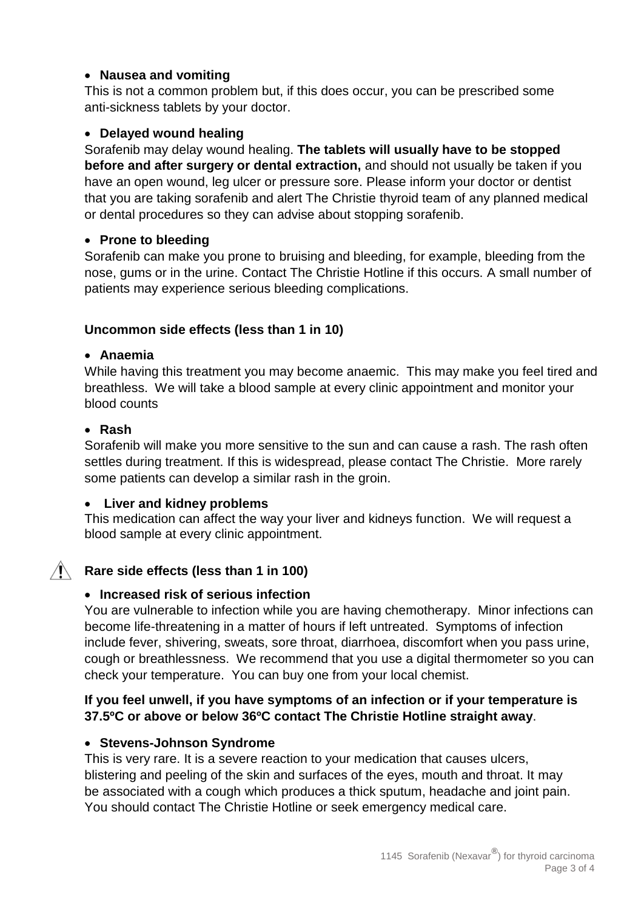#### **Nausea and vomiting**

This is not a common problem but, if this does occur, you can be prescribed some anti-sickness tablets by your doctor.

#### **Delayed wound healing**

Sorafenib may delay wound healing. **The tablets will usually have to be stopped before and after surgery or dental extraction,** and should not usually be taken if you have an open wound, leg ulcer or pressure sore. Please inform your doctor or dentist that you are taking sorafenib and alert The Christie thyroid team of any planned medical or dental procedures so they can advise about stopping sorafenib.

#### **Prone to bleeding**

Sorafenib can make you prone to bruising and bleeding, for example, bleeding from the nose, gums or in the urine. Contact The Christie Hotline if this occurs. A small number of patients may experience serious bleeding complications.

#### **Uncommon side effects (less than 1 in 10)**

#### **Anaemia**

While having this treatment you may become anaemic. This may make you feel tired and breathless. We will take a blood sample at every clinic appointment and monitor your blood counts

#### **Rash**

Sorafenib will make you more sensitive to the sun and can cause a rash. The rash often settles during treatment. If this is widespread, please contact The Christie. More rarely some patients can develop a similar rash in the groin.

#### **Liver and kidney problems**

This medication can affect the way your liver and kidneys function. We will request a blood sample at every clinic appointment.

## **Rare side effects (less than 1 in 100)**

#### **Increased risk of serious infection**

You are vulnerable to infection while you are having chemotherapy. Minor infections can become life-threatening in a matter of hours if left untreated. Symptoms of infection include fever, shivering, sweats, sore throat, diarrhoea, discomfort when you pass urine, cough or breathlessness. We recommend that you use a digital thermometer so you can check your temperature. You can buy one from your local chemist.

#### **If you feel unwell, if you have symptoms of an infection or if your temperature is 37.5ºC or above or below 36ºC contact The Christie Hotline straight away**.

#### **Stevens-Johnson Syndrome**

This is very rare. It is a severe reaction to your medication that causes ulcers, blistering and peeling of the skin and surfaces of the eyes, mouth and throat. It may be associated with a cough which produces a thick sputum, headache and joint pain. You should contact The Christie Hotline or seek emergency medical care.